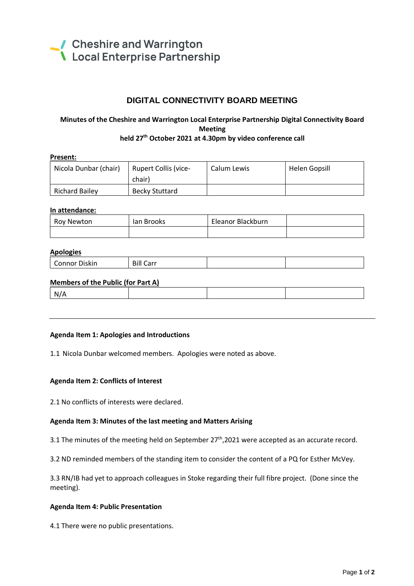

# **DIGITAL CONNECTIVITY BOARD MEETING**

# **Minutes of the Cheshire and Warrington Local Enterprise Partnership Digital Connectivity Board Meeting**

## **held 27 th October 2021 at 4.30pm by video conference call**

| Present:              |                             |             |               |  |
|-----------------------|-----------------------------|-------------|---------------|--|
| Nicola Dunbar (chair) | <b>Rupert Collis (vice-</b> | Calum Lewis | Helen Gopsill |  |
|                       | chair)                      |             |               |  |
| <b>Richard Bailey</b> | <b>Becky Stuttard</b>       |             |               |  |

#### **In attendance:**

| Roy Newton | lan Brooks | Eleanor Blackburn |  |
|------------|------------|-------------------|--|
|            |            |                   |  |

#### **Apologies**

|  | - -<br>Connor<br>. Diskin | <b>Bill Carr</b> |  |  |
|--|---------------------------|------------------|--|--|
|--|---------------------------|------------------|--|--|

#### **Members of the Public (for Part A)**

| w |  |  |
|---|--|--|
|   |  |  |

#### **Agenda Item 1: Apologies and Introductions**

1.1 Nicola Dunbar welcomed members. Apologies were noted as above.

#### **Agenda Item 2: Conflicts of Interest**

2.1 No conflicts of interests were declared.

#### **Agenda Item 3: Minutes of the last meeting and Matters Arising**

3.1 The minutes of the meeting held on September  $27<sup>th</sup>$ , 2021 were accepted as an accurate record.

3.2 ND reminded members of the standing item to consider the content of a PQ for Esther McVey.

3.3 RN/IB had yet to approach colleagues in Stoke regarding their full fibre project. (Done since the meeting).

#### **Agenda Item 4: Public Presentation**

4.1 There were no public presentations.